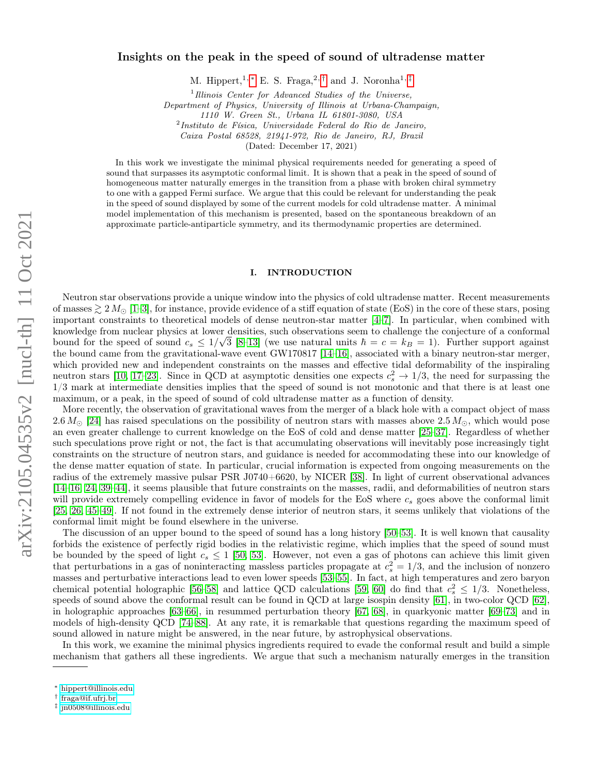# Insights on the peak in the speed of sound of ultradense matter

M. Hippert,<sup>1, \*</sup> E. S. Fraga,<sup>2,[†](#page-0-1)</sup> and J. Noronha<sup>1,[‡](#page-0-2)</sup>

<sup>1</sup> Illinois Center for Advanced Studies of the Universe,

Department of Physics, University of Illinois at Urbana-Champaign,

1110 W. Green St., Urbana IL 61801-3080, USA

2 Instituto de Física, Universidade Federal do Rio de Janeiro,

Caixa Postal 68528, 21941-972, Rio de Janeiro, RJ, Brazil

(Dated: December 17, 2021)

In this work we investigate the minimal physical requirements needed for generating a speed of sound that surpasses its asymptotic conformal limit. It is shown that a peak in the speed of sound of homogeneous matter naturally emerges in the transition from a phase with broken chiral symmetry to one with a gapped Fermi surface. We argue that this could be relevant for understanding the peak in the speed of sound displayed by some of the current models for cold ultradense matter. A minimal model implementation of this mechanism is presented, based on the spontaneous breakdown of an approximate particle-antiparticle symmetry, and its thermodynamic properties are determined.

### I. INTRODUCTION

Neutron star observations provide a unique window into the physics of cold ultradense matter. Recent measurements of masses  $\geq 2 M_{\odot}$  [\[1](#page-8-0)[–3\]](#page-8-1), for instance, provide evidence of a stiff equation of state (EoS) in the core of these stars, posing important constraints to theoretical models of dense neutron-star matter [\[4](#page-8-2)[–7\]](#page-8-3). In particular, when combined with knowledge from nuclear physics at lower densities, such observations seem to challenge the conjecture of a conformal bound for the speed of sound  $c_s \leq 1/\sqrt{3}$  [\[8–](#page-8-4)[13\]](#page-8-5) (we use natural units  $\hbar = c = k_B = 1$ ). Further support against the bound came from the gravitational-wave event GW170817 [\[14–](#page-8-6)[16\]](#page-8-7), associated with a binary neutron-star merger, which provided new and independent constraints on the masses and effective tidal deformability of the inspiraling neutron stars [\[10,](#page-8-8) [17–](#page-8-9)[23\]](#page-8-10). Since in QCD at asymptotic densities one expects  $c_s^2 \to 1/3$ , the need for surpassing the 1/3 mark at intermediate densities implies that the speed of sound is not monotonic and that there is at least one maximum, or a peak, in the speed of sound of cold ultradense matter as a function of density.

More recently, the observation of gravitational waves from the merger of a black hole with a compact object of mass 2.6  $M_{\odot}$  [\[24\]](#page-8-11) has raised speculations on the possibility of neutron stars with masses above 2.5  $M_{\odot}$ , which would pose an even greater challenge to current knowledge on the EoS of cold and dense matter [\[25–](#page-8-12)[37\]](#page-9-0). Regardless of whether such speculations prove right or not, the fact is that accumulating observations will inevitably pose increasingly tight constraints on the structure of neutron stars, and guidance is needed for accommodating these into our knowledge of the dense matter equation of state. In particular, crucial information is expected from ongoing measurements on the radius of the extremely massive pulsar PSR J0740+6620, by NICER [\[38\]](#page-9-1). In light of current observational advances [\[14–](#page-8-6)[16,](#page-8-7) [24,](#page-8-11) [39–](#page-9-2)[44\]](#page-9-3), it seems plausible that future constraints on the masses, radii, and deformabilities of neutron stars will provide extremely compelling evidence in favor of models for the EoS where  $c_s$  goes above the conformal limit [\[25,](#page-8-12) [26,](#page-8-13) [45–](#page-9-4)[49\]](#page-9-5). If not found in the extremely dense interior of neutron stars, it seems unlikely that violations of the conformal limit might be found elsewhere in the universe.

The discussion of an upper bound to the speed of sound has a long history [\[50–](#page-9-6)[53\]](#page-9-7). It is well known that causality forbids the existence of perfectly rigid bodies in the relativistic regime, which implies that the speed of sound must be bounded by the speed of light  $c_s \le 1$  [\[50,](#page-9-6) [53\]](#page-9-7). However, not even a gas of photons can achieve this limit given that perturbations in a gas of noninteracting massless particles propagate at  $c_s^2 = 1/3$ , and the inclusion of nonzero masses and perturbative interactions lead to even lower speeds [\[53–](#page-9-7)[55\]](#page-9-8). In fact, at high temperatures and zero baryon chemical potential holographic [\[56–](#page-9-9)[58\]](#page-10-0) and lattice QCD calculations [\[59,](#page-10-1) [60\]](#page-10-2) do find that  $c_s^2 \leq 1/3$ . Nonetheless, speeds of sound above the conformal result can be found in QCD at large isospin density [\[61\]](#page-10-3), in two-color QCD [\[62\]](#page-10-4), in holographic approaches [\[63–](#page-10-5)[66\]](#page-10-6), in resummed perturbation theory [\[67,](#page-10-7) [68\]](#page-10-8), in quarkyonic matter [\[69–](#page-10-9)[73\]](#page-10-10) and in models of high-density QCD [\[74](#page-10-11)[–88\]](#page-11-0). At any rate, it is remarkable that questions regarding the maximum speed of sound allowed in nature might be answered, in the near future, by astrophysical observations.

In this work, we examine the minimal physics ingredients required to evade the conformal result and build a simple mechanism that gathers all these ingredients. We argue that such a mechanism naturally emerges in the transition

<span id="page-0-0"></span><sup>∗</sup> [hippert@illinois.edu](mailto:hippert@illinois.edu)

<span id="page-0-1"></span><sup>†</sup> [fraga@if.ufrj.br](mailto:fraga@if.ufrj.br)

<span id="page-0-2"></span><sup>‡</sup> [jn0508@illinois.edu](mailto:jn0508@illinois.edu)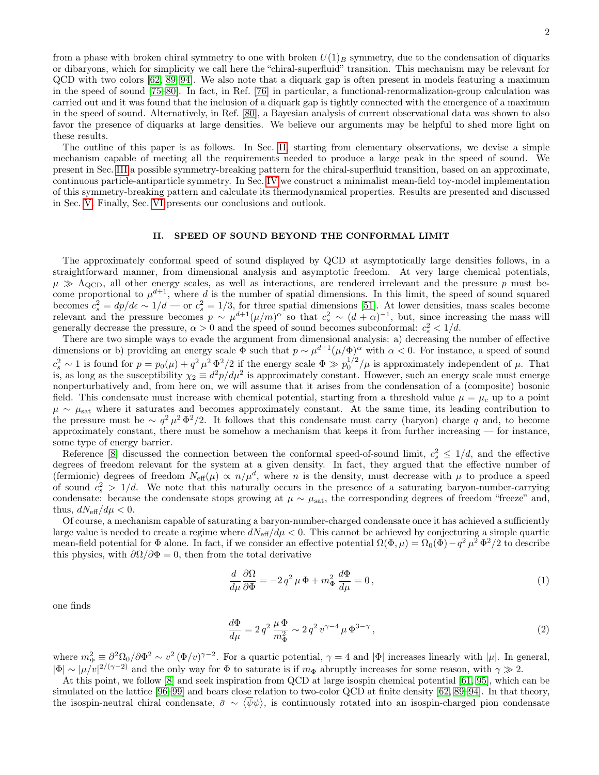from a phase with broken chiral symmetry to one with broken  $U(1)_B$  symmetry, due to the condensation of diquarks or dibaryons, which for simplicity we call here the "chiral-superfluid" transition. This mechanism may be relevant for QCD with two colors [\[62,](#page-10-4) [89–](#page-11-1)[94\]](#page-11-2). We also note that a diquark gap is often present in models featuring a maximum in the speed of sound [\[75–](#page-10-12)[80\]](#page-10-13). In fact, in Ref. [\[76\]](#page-10-14) in particular, a functional-renormalization-group calculation was carried out and it was found that the inclusion of a diquark gap is tightly connected with the emergence of a maximum in the speed of sound. Alternatively, in Ref. [\[80\]](#page-10-13), a Bayesian analysis of current observational data was shown to also favor the presence of diquarks at large densities. We believe our arguments may be helpful to shed more light on these results.

The outline of this paper is as follows. In Sec. [II,](#page-1-0) starting from elementary observations, we devise a simple mechanism capable of meeting all the requirements needed to produce a large peak in the speed of sound. We present in Sec. [III](#page-2-0) a possible symmetry-breaking pattern for the chiral-superfluid transition, based on an approximate, continuous particle-antiparticle symmetry. In Sec. [IV](#page-3-0) we construct a minimalist mean-field toy-model implementation of this symmetry-breaking pattern and calculate its thermodynamical properties. Results are presented and discussed in Sec. [V.](#page-5-0) Finally, Sec. [VI](#page-7-0) presents our conclusions and outlook.

## <span id="page-1-0"></span>II. SPEED OF SOUND BEYOND THE CONFORMAL LIMIT

The approximately conformal speed of sound displayed by QCD at asymptotically large densities follows, in a straightforward manner, from dimensional analysis and asymptotic freedom. At very large chemical potentials,  $\mu \gg \Lambda_{\text{QCD}}$ , all other energy scales, as well as interactions, are rendered irrelevant and the pressure p must become proportional to  $\mu^{d+1}$ , where d is the number of spatial dimensions. In this limit, the speed of sound squared becomes  $c_s^2 = dp/d\epsilon \sim 1/d$  — or  $c_s^2 = 1/3$ , for three spatial dimensions [\[51\]](#page-9-10). At lower densities, mass scales become relevant and the pressure becomes  $p \sim \mu^{d+1} (\mu/m)^{\alpha}$  so that  $c_s^2 \sim (d+\alpha)^{-1}$ , but, since increasing the mass will generally decrease the pressure,  $\alpha > 0$  and the speed of sound becomes subconformal:  $c_s^2 < 1/d$ .

There are two simple ways to evade the argument from dimensional analysis: a) decreasing the number of effective dimensions or b) providing an energy scale  $\Phi$  such that  $p \sim \mu^{d+1} (\mu/\Phi)^\alpha$  with  $\alpha < 0$ . For instance, a speed of sound  $c_s^2 \sim 1$  is found for  $p = p_0(\mu) + q^2 \mu^2 \Phi^2/2$  if the energy scale  $\Phi \gg p_0^{1/2}/\mu$  is approximately independent of  $\mu$ . That is, as long as the susceptibility  $\chi_2 \equiv d^2 p/d\mu^2$  is approximately constant. However, such an energy scale must emerge nonperturbatively and, from here on, we will assume that it arises from the condensation of a (composite) bosonic field. This condensate must increase with chemical potential, starting from a threshold value  $\mu = \mu_c$  up to a point  $\mu \sim \mu_{\text{sat}}$  where it saturates and becomes approximately constant. At the same time, its leading contribution to the pressure must be  $\sim q^2 \mu^2 \Phi^2/2$ . It follows that this condensate must carry (baryon) charge q and, to become approximately constant, there must be somehow a mechanism that keeps it from further increasing — for instance, some type of energy barrier.

Reference [\[8\]](#page-8-4) discussed the connection between the conformal speed-of-sound limit,  $c_s^2 \leq 1/d$ , and the effective degrees of freedom relevant for the system at a given density. In fact, they argued that the effective number of (fermionic) degrees of freedom  $N_{\text{eff}}(\mu) \propto n/\mu^d$ , where n is the density, must decrease with  $\mu$  to produce a speed of sound  $c_s^2 > 1/d$ . We note that this naturally occurs in the presence of a saturating baryon-number-carrying condensate: because the condensate stops growing at  $\mu \sim \mu_{\text{sat}}$ , the corresponding degrees of freedom "freeze" and, thus,  $dN_{\text{eff}}/d\mu < 0$ .

Of course, a mechanism capable of saturating a baryon-number-charged condensate once it has achieved a sufficiently large value is needed to create a regime where  $dN_{\text{eff}}/d\mu < 0$ . This cannot be achieved by conjecturing a simple quartic mean-field potential for  $\Phi$  alone. In fact, if we consider an effective potential  $\Omega(\Phi, \mu) = \Omega_0(\Phi) - q^2 \mu^2 \Phi^2 / 2$  to describe this physics, with  $\partial \Omega / \partial \Phi = 0$ , then from the total derivative

$$
\frac{d}{d\mu}\frac{\partial\Omega}{\partial\Phi} = -2q^2\,\mu\,\Phi + m^2_{\Phi}\,\frac{d\Phi}{d\mu} = 0\,,\tag{1}
$$

one finds

$$
\frac{d\Phi}{d\mu} = 2 q^2 \frac{\mu \Phi}{m_{\Phi}^2} \sim 2 q^2 v^{\gamma - 4} \mu \Phi^{3 - \gamma},\tag{2}
$$

where  $m_{\Phi}^2 \equiv \partial^2 \Omega_0 / \partial \Phi^2 \sim v^2 (\Phi/v)^{\gamma-2}$ . For a quartic potential,  $\gamma = 4$  and  $|\Phi|$  increases linearly with  $|\mu|$ . In general,  $|\Phi| \sim |\mu/v|^{2/(\gamma-2)}$  and the only way for  $\Phi$  to saturate is if  $m_{\Phi}$  abruptly increases for some reason, with  $\gamma \gg 2$ .

At this point, we follow [\[8\]](#page-8-4) and seek inspiration from QCD at large isospin chemical potential [\[61,](#page-10-3) [95\]](#page-11-3), which can be simulated on the lattice [\[96](#page-11-4)[–99\]](#page-11-5) and bears close relation to two-color QCD at finite density [\[62,](#page-10-4) [89–](#page-11-1)[94\]](#page-11-2). In that theory, the isospin-neutral chiral condensate,  $\bar{\sigma} \sim \langle \bar{\psi} \psi \rangle$ , is continuously rotated into an isospin-charged pion condensate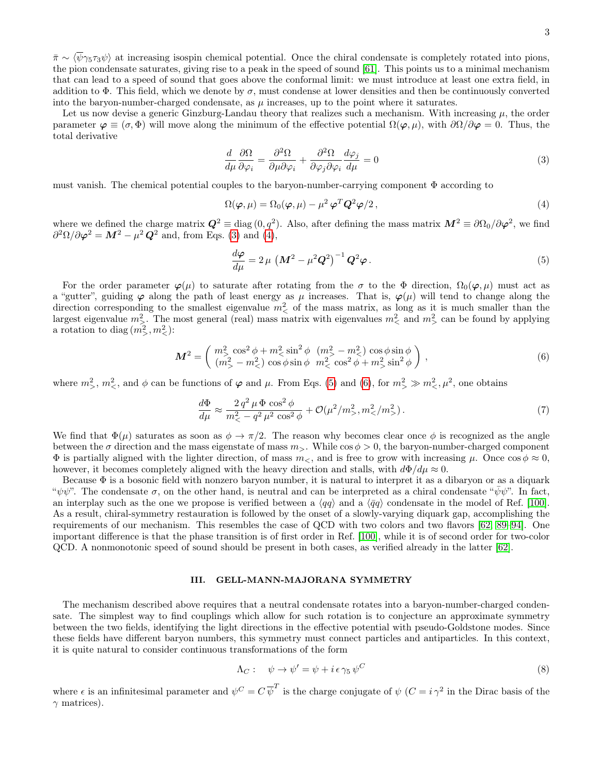$\bar{\pi} \sim \langle \bar{\psi} \gamma_5 \tau_3 \psi \rangle$  at increasing isospin chemical potential. Once the chiral condensate is completely rotated into pions, the pion condensate saturates, giving rise to a peak in the speed of sound [\[61\]](#page-10-3). This points us to a minimal mechanism that can lead to a speed of sound that goes above the conformal limit: we must introduce at least one extra field, in addition to  $\Phi$ . This field, which we denote by  $\sigma$ , must condense at lower densities and then be continuously converted into the baryon-number-charged condensate, as  $\mu$  increases, up to the point where it saturates.

Let us now devise a generic Ginzburg-Landau theory that realizes such a mechanism. With increasing  $\mu$ , the order parameter  $\varphi \equiv (\sigma, \Phi)$  will move along the minimum of the effective potential  $\Omega(\varphi, \mu)$ , with  $\partial\Omega/\partial \varphi = 0$ . Thus, the total derivative

<span id="page-2-1"></span>
$$
\frac{d}{d\mu}\frac{\partial\Omega}{\partial\varphi_i} = \frac{\partial^2\Omega}{\partial\mu\partial\varphi_i} + \frac{\partial^2\Omega}{\partial\varphi_j\partial\varphi_i}\frac{d\varphi_j}{d\mu} = 0
$$
\n(3)

must vanish. The chemical potential couples to the baryon-number-carrying component  $\Phi$  according to

<span id="page-2-2"></span>
$$
\Omega(\varphi,\mu) = \Omega_0(\varphi,\mu) - \mu^2 \varphi^T \mathbf{Q}^2 \varphi/2, \qquad (4)
$$

where we defined the charge matrix  $Q^2 \equiv \text{diag}(0, q^2)$ . Also, after defining the mass matrix  $M^2 \equiv \partial \Omega_0 / \partial \varphi^2$ , we find  $\partial^2\Omega/\partial\varphi^2 = M^2 - \mu^2 Q^2$  and, from Eqs. [\(3\)](#page-2-1) and [\(4\)](#page-2-2),

<span id="page-2-3"></span>
$$
\frac{d\varphi}{d\mu} = 2\,\mu \, \left(M^2 - \mu^2 \mathbf{Q}^2\right)^{-1} \mathbf{Q}^2 \varphi \,. \tag{5}
$$

For the order parameter  $\varphi(\mu)$  to saturate after rotating from the  $\sigma$  to the  $\Phi$  direction,  $\Omega_0(\varphi,\mu)$  must act as a "gutter", guiding  $\varphi$  along the path of least energy as  $\mu$  increases. That is,  $\varphi(\mu)$  will tend to change along the direction corresponding to the smallest eigenvalue  $m<sup>2</sup>$  of the mass matrix, as long as it is much smaller than the largest eigenvalue  $m_{\geq}^2$ . The most general (real) mass matrix with eigenvalues  $m_{\leq}^2$  and  $m_{\geq}^2$  can be found by applying a rotation to diag $(m^2, m^2)$ :

<span id="page-2-4"></span>
$$
\mathbf{M}^2 = \begin{pmatrix} m_{>}^2 \cos^2 \phi + m_{<}^2 \sin^2 \phi & (m_{>}^2 - m_{<}^2) \cos \phi \sin \phi \\ (m_{>}^2 - m_{<}^2) \cos \phi \sin \phi & m_{<}^2 \cos^2 \phi + m_{>}^2 \sin^2 \phi \end{pmatrix},
$$
(6)

where  $m^2$ ,  $m^2$ , and  $\phi$  can be functions of  $\varphi$  and  $\mu$ . From Eqs. [\(5\)](#page-2-3) and [\(6\)](#page-2-4), for  $m^2 > m^2$ ,  $\mu^2$ , one obtains

$$
\frac{d\Phi}{d\mu} \approx \frac{2 q^2 \mu \Phi \cos^2 \phi}{m_{\leq}^2 - q^2 \mu^2 \cos^2 \phi} + \mathcal{O}(\mu^2/m_{>}^2, m_{<}^2/m_{>}^2). \tag{7}
$$

We find that  $\Phi(\mu)$  saturates as soon as  $\phi \to \pi/2$ . The reason why becomes clear once  $\phi$  is recognized as the angle between the  $\sigma$  direction and the mass eigenstate of mass  $m_{>}$ . While cos  $\phi > 0$ , the baryon-number-charged component  $\Phi$  is partially aligned with the lighter direction, of mass  $m_<$ , and is free to grow with increasing  $\mu$ . Once  $\cos \phi \approx 0$ , however, it becomes completely aligned with the heavy direction and stalls, with  $d\Phi/d\mu \approx 0$ .

Because  $\Phi$  is a bosonic field with nonzero baryon number, it is natural to interpret it as a dibaryon or as a diquark " $\psi \psi$ ". The condensate  $\sigma$ , on the other hand, is neutral and can be interpreted as a chiral condensate " $\bar{\psi} \psi$ ". In fact, an interplay such as the one we propose is verified between a  $\langle qq \rangle$  and a  $\langle \bar{q}q \rangle$  condensate in the model of Ref. [\[100\]](#page-11-6). As a result, chiral-symmetry restauration is followed by the onset of a slowly-varying diquark gap, accomplishing the requirements of our mechanism. This resembles the case of QCD with two colors and two flavors [\[62,](#page-10-4) [89–](#page-11-1)[94\]](#page-11-2). One important difference is that the phase transition is of first order in Ref. [\[100\]](#page-11-6), while it is of second order for two-color QCD. A nonmonotonic speed of sound should be present in both cases, as verified already in the latter [\[62\]](#page-10-4).

## <span id="page-2-0"></span>III. GELL-MANN-MAJORANA SYMMETRY

The mechanism described above requires that a neutral condensate rotates into a baryon-number-charged condensate. The simplest way to find couplings which allow for such rotation is to conjecture an approximate symmetry between the two fields, identifying the light directions in the effective potential with pseudo-Goldstone modes. Since these fields have different baryon numbers, this symmetry must connect particles and antiparticles. In this context, it is quite natural to consider continuous transformations of the form

<span id="page-2-5"></span>
$$
\Lambda_C: \quad \psi \to \psi' = \psi + i \epsilon \gamma_5 \psi^C \tag{8}
$$

where  $\epsilon$  is an infinitesimal parameter and  $\psi^C = C \overline{\psi}^T$  is the charge conjugate of  $\psi$   $(C = i \gamma^2$  in the Dirac basis of the  $\gamma$  matrices).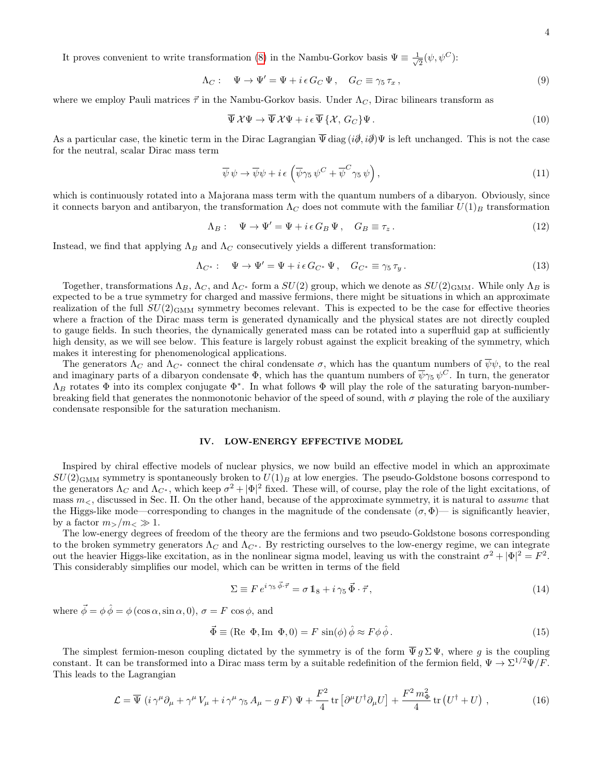It proves convenient to write transformation [\(8\)](#page-2-5) in the Nambu-Gorkov basis  $\Psi \equiv \frac{1}{\sqrt{2}}$  $\frac{1}{2}(\psi, \psi^C)$ :

$$
\Lambda_C: \quad \Psi \to \Psi' = \Psi + i\,\epsilon\,G_C\,\Psi \,, \quad G_C \equiv \gamma_5\,\tau_x \,, \tag{9}
$$

where we employ Pauli matrices  $\vec{\tau}$  in the Nambu-Gorkov basis. Under  $\Lambda_C$ , Dirac bilinears transform as

$$
\overline{\Psi} \mathcal{X} \Psi \to \overline{\Psi} \mathcal{X} \Psi + i \epsilon \overline{\Psi} \{ \mathcal{X}, G_C \} \Psi.
$$
\n
$$
(10)
$$

As a particular case, the kinetic term in the Dirac Lagrangian  $\overline{\Psi}$  diag  $(i\partial, i\partial) \Psi$  is left unchanged. This is not the case for the neutral, scalar Dirac mass term

$$
\overline{\psi}\,\psi \to \overline{\psi}\psi + i\,\epsilon\,\left(\overline{\psi}\gamma_5\,\psi^C + \overline{\psi}^C\gamma_5\,\psi\right),\tag{11}
$$

which is continuously rotated into a Majorana mass term with the quantum numbers of a dibaryon. Obviously, since it connects baryon and antibaryon, the transformation  $\Lambda_C$  does not commute with the familiar  $U(1)_B$  transformation

$$
\Lambda_B: \quad \Psi \to \Psi' = \Psi + i\,\epsilon\,G_B\,\Psi \,, \quad G_B \equiv \tau_z \,. \tag{12}
$$

Instead, we find that applying  $\Lambda_B$  and  $\Lambda_C$  consecutively yields a different transformation:

$$
\Lambda_{C^*}: \quad \Psi \to \Psi' = \Psi + i\,\epsilon\,G_{C^*}\,\Psi \,, \quad G_{C^*} \equiv \gamma_5 \,\tau_y \,. \tag{13}
$$

Together, transformations  $\Lambda_B$ ,  $\Lambda_C$ , and  $\Lambda_{C^*}$  form a  $SU(2)$  group, which we denote as  $SU(2)_{\text{GMM}}$ . While only  $\Lambda_B$  is expected to be a true symmetry for charged and massive fermions, there might be situations in which an approximate realization of the full  $SU(2)_{\text{GMM}}$  symmetry becomes relevant. This is expected to be the case for effective theories where a fraction of the Dirac mass term is generated dynamically and the physical states are not directly coupled to gauge fields. In such theories, the dynamically generated mass can be rotated into a superfluid gap at sufficiently high density, as we will see below. This feature is largely robust against the explicit breaking of the symmetry, which makes it interesting for phenomenological applications.

The generators  $\Lambda_C$  and  $\Lambda_{C^*}$  connect the chiral condensate  $\sigma$ , which has the quantum numbers of  $\overline{\psi}\psi$ , to the real and imaginary parts of a dibaryon condensate  $\Phi$ , which has the quantum numbers of  $\overline{\psi}\gamma_5 \psi^C$ . In turn, the generator  $\Lambda_B$  rotates  $\Phi$  into its complex conjugate  $\Phi^*$ . In what follows  $\Phi$  will play the role of the saturating baryon-numberbreaking field that generates the nonmonotonic behavior of the speed of sound, with  $\sigma$  playing the role of the auxiliary condensate responsible for the saturation mechanism.

#### <span id="page-3-0"></span>IV. LOW-ENERGY EFFECTIVE MODEL

Inspired by chiral effective models of nuclear physics, we now build an effective model in which an approximate  $SU(2)_{\text{GMM}}$  symmetry is spontaneously broken to  $U(1)_B$  at low energies. The pseudo-Goldstone bosons correspond to the generators  $\Lambda_C$  and  $\Lambda_{C^*}$ , which keep  $\sigma^2 + |\Phi|^2$  fixed. These will, of course, play the role of the light excitations, of mass  $m<sub>5</sub>$ , discussed in Sec. II. On the other hand, because of the approximate symmetry, it is natural to assume that the Higgs-like mode—corresponding to changes in the magnitude of the condensate  $(\sigma, \Phi)$ — is significantly heavier, by a factor  $m_>/m_< \gg 1$ .

The low-energy degrees of freedom of the theory are the fermions and two pseudo-Goldstone bosons corresponding to the broken symmetry generators  $\Lambda_C$  and  $\Lambda_{C^*}$ . By restricting ourselves to the low-energy regime, we can integrate out the heavier Higgs-like excitation, as in the nonlinear sigma model, leaving us with the constraint  $\sigma^2 + |\Phi|^2 = F^2$ . This considerably simplifies our model, which can be written in terms of the field

$$
\Sigma \equiv F e^{i \gamma_5 \vec{\phi} \cdot \vec{\tau}} = \sigma \, \mathbb{1}_8 + i \, \gamma_5 \, \vec{\Phi} \cdot \vec{\tau},\tag{14}
$$

where  $\vec{\phi} = \phi \hat{\phi} = \phi (\cos \alpha, \sin \alpha, 0), \sigma = F \cos \phi$ , and

$$
\vec{\Phi} \equiv (\text{Re } \Phi, \text{Im } \Phi, 0) = F \sin(\phi) \hat{\phi} \approx F \phi \hat{\phi}.
$$
 (15)

The simplest fermion-meson coupling dictated by the symmetry is of the form  $\overline{\Psi} g \Sigma \Psi$ , where g is the coupling constant. It can be transformed into a Dirac mass term by a suitable redefinition of the fermion field,  $\Psi \to \Sigma^{1/2} \Psi / F$ . This leads to the Lagrangian

$$
\mathcal{L} = \overline{\Psi} \left( i \gamma^{\mu} \partial_{\mu} + \gamma^{\mu} V_{\mu} + i \gamma^{\mu} \gamma_5 A_{\mu} - g F \right) \Psi + \frac{F^2}{4} \text{tr} \left[ \partial^{\mu} U^{\dagger} \partial_{\mu} U \right] + \frac{F^2 m_{\Phi}^2}{4} \text{tr} \left( U^{\dagger} + U \right) , \qquad (16)
$$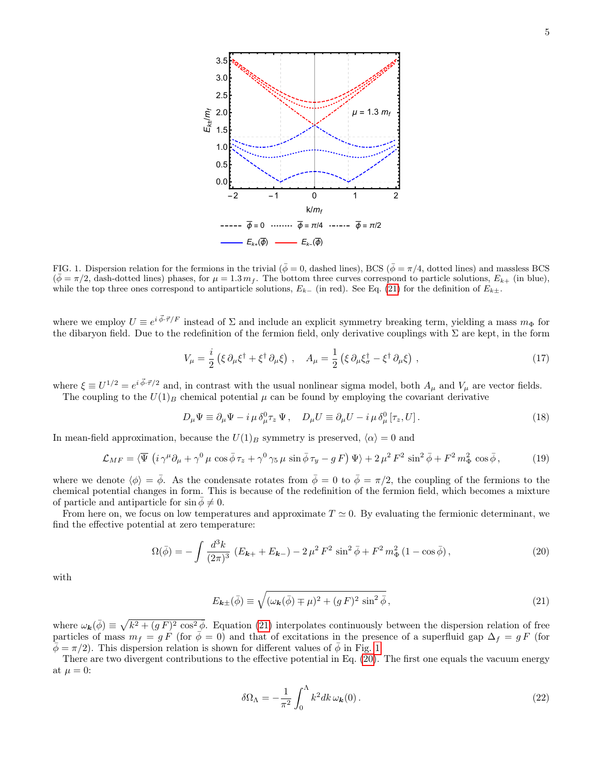

<span id="page-4-1"></span>FIG. 1. Dispersion relation for the fermions in the trivial ( $\bar{\phi} = 0$ , dashed lines), BCS ( $\bar{\phi} = \pi/4$ , dotted lines) and massless BCS  $(\bar{\phi} = \pi/2,$  dash-dotted lines) phases, for  $\mu = 1.3 m_f$ . The bottom three curves correspond to particle solutions,  $E_{k+}$  (in blue), while the top three ones correspond to antiparticle solutions,  $E_{k-}$  (in red). See Eq. [\(21\)](#page-4-0) for the definition of  $E_{k\pm}$ .

where we employ  $U \equiv e^{i \vec{\phi} \cdot \vec{\tau}/F}$  instead of  $\Sigma$  and include an explicit symmetry breaking term, yielding a mass  $m_{\Phi}$  for the dibaryon field. Due to the redefinition of the fermion field, only derivative couplings with  $\Sigma$  are kept, in the form

$$
V_{\mu} = \frac{i}{2} \left( \xi \, \partial_{\mu} \xi^{\dagger} + \xi^{\dagger} \, \partial_{\mu} \xi \right) , \quad A_{\mu} = \frac{1}{2} \left( \xi \, \partial_{\mu} \xi^{\dagger}_{\sigma} - \xi^{\dagger} \, \partial_{\mu} \xi \right) , \tag{17}
$$

where  $\xi \equiv U^{1/2} = e^{i \vec{\phi} \cdot \vec{\tau}/2}$  and, in contrast with the usual nonlinear sigma model, both  $A_\mu$  and  $V_\mu$  are vector fields.

The coupling to the  $U(1)_B$  chemical potential  $\mu$  can be found by employing the covariant derivative

$$
D_{\mu}\Psi \equiv \partial_{\mu}\Psi - i\,\mu\,\delta_{\mu}^{0}\tau_{z}\,\Psi\,, \quad D_{\mu}U \equiv \partial_{\mu}U - i\,\mu\,\delta_{\mu}^{0}\left[\tau_{z},U\right].\tag{18}
$$

In mean-field approximation, because the  $U(1)_B$  symmetry is preserved,  $\langle \alpha \rangle = 0$  and

$$
\mathcal{L}_{MF} = \langle \overline{\Psi} \left( i \gamma^{\mu} \partial_{\mu} + \gamma^{0} \mu \cos \bar{\phi} \tau_{z} + \gamma^{0} \gamma_{5} \mu \sin \bar{\phi} \tau_{y} - g F \right) \Psi \rangle + 2 \mu^{2} F^{2} \sin^{2} \bar{\phi} + F^{2} m_{\Phi}^{2} \cos \bar{\phi}, \tag{19}
$$

where we denote  $\langle \phi \rangle = \bar{\phi}$ . As the condensate rotates from  $\bar{\phi} = 0$  to  $\bar{\phi} = \pi/2$ , the coupling of the fermions to the chemical potential changes in form. This is because of the redefinition of the fermion field, which becomes a mixture of particle and antiparticle for  $\sin \phi \neq 0$ .

From here on, we focus on low temperatures and approximate  $T \approx 0$ . By evaluating the fermionic determinant, we find the effective potential at zero temperature:

<span id="page-4-2"></span>
$$
\Omega(\bar{\phi}) = -\int \frac{d^3k}{(2\pi)^3} \left( E_{\mathbf{k}+} + E_{\mathbf{k}-} \right) - 2\,\mu^2 \, F^2 \, \sin^2 \bar{\phi} + F^2 \, m_\Phi^2 \left( 1 - \cos \bar{\phi} \right),\tag{20}
$$

with

<span id="page-4-0"></span>
$$
E_{\mathbf{k}\pm}(\bar{\phi}) \equiv \sqrt{(\omega_{\mathbf{k}}(\bar{\phi}) \mp \mu)^2 + (gF)^2 \sin^2 \bar{\phi}},\tag{21}
$$

where  $\omega_{\mathbf{k}}(\bar{\phi}) \equiv \sqrt{k^2 + (gF)^2 \cos^2{\bar{\phi}}}$ . Equation [\(21\)](#page-4-0) interpolates continuously between the dispersion relation of free particles of mass  $m_f = g F$  (for  $\bar{\phi} = 0$ ) and that of excitations in the presence of a superfluid gap  $\Delta_f = g F$  (for  $\phi = \pi/2$ ). This dispersion relation is shown for different values of  $\overline{\phi}$  in Fig. [1.](#page-4-1)

There are two divergent contributions to the effective potential in Eq. [\(20\)](#page-4-2). The first one equals the vacuum energy at  $\mu = 0$ :

$$
\delta\Omega_{\Lambda} = -\frac{1}{\pi^2} \int_0^{\Lambda} k^2 dk \,\omega_{\mathbf{k}}(0) \,. \tag{22}
$$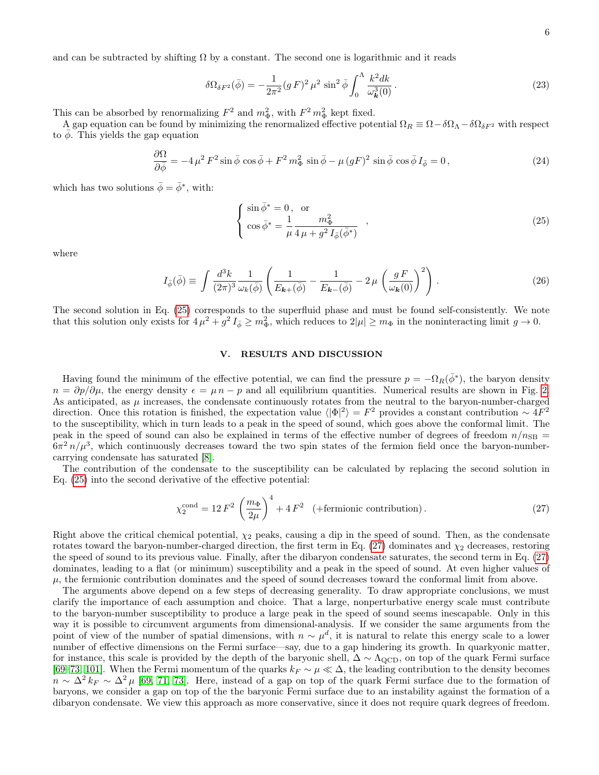and can be subtracted by shifting  $\Omega$  by a constant. The second one is logarithmic and it reads

$$
\delta\Omega_{\delta F^2}(\bar{\phi}) = -\frac{1}{2\pi^2} (gF)^2 \,\mu^2 \,\sin^2 \bar{\phi} \int_0^\Lambda \frac{k^2 dk}{\omega_k^2(0)} \,. \tag{23}
$$

This can be absorbed by renormalizing  $F^2$  and  $m_{\Phi}^2$ , with  $F^2 m_{\Phi}^2$  kept fixed.

A gap equation can be found by minimizing the renormalized effective potential  $\Omega_R \equiv \Omega - \delta \Omega_\Lambda - \delta \Omega_{\delta F^2}$  with respect to  $\phi$ . This yields the gap equation

$$
\frac{\partial \Omega}{\partial \bar{\phi}} = -4\,\mu^2\,F^2\sin\bar{\phi}\,\cos\bar{\phi} + F^2\,m_{\Phi}^2\,\sin\bar{\phi} - \mu\,(gF)^2\sin\bar{\phi}\,\cos\bar{\phi}\,I_{\bar{\phi}} = 0\,,\tag{24}
$$

which has two solutions  $\bar{\phi} = \bar{\phi}^*$ , with:

<span id="page-5-1"></span>
$$
\begin{cases}\n\sin\bar{\phi}^* = 0, & \text{or} \\
\cos\bar{\phi}^* = \frac{1}{\mu} \frac{m_{\Phi}^2}{4\mu + g^2 I_{\bar{\phi}}(\bar{\phi}^*)}\n\end{cases},
$$
\n(25)

where

$$
I_{\bar{\phi}}(\bar{\phi}) \equiv \int \frac{d^3k}{(2\pi)^3} \frac{1}{\omega_k(\bar{\phi})} \left( \frac{1}{E_{\mathbf{k}+}(\bar{\phi})} - \frac{1}{E_{\mathbf{k}+}(\bar{\phi})} - 2\,\mu \left( \frac{g\,F}{\omega_{\mathbf{k}}(0)} \right)^2 \right) \,. \tag{26}
$$

The second solution in Eq. [\(25\)](#page-5-1) corresponds to the superfluid phase and must be found self-consistently. We note that this solution only exists for  $4\mu^2 + g^2 I_{\bar{\phi}} \ge m_\Phi^2$ , which reduces to  $2|\mu| \ge m_\Phi$  in the noninteracting limit  $g \to 0$ .

# <span id="page-5-0"></span>V. RESULTS AND DISCUSSION

Having found the minimum of the effective potential, we can find the pressure  $p = -\Omega_R(\bar{\phi}^*)$ , the baryon density  $n = \partial p/\partial \mu$ , the energy density  $\epsilon = \mu n - p$  and all equilibrium quantities. Numerical results are shown in Fig. [2.](#page-6-0) As anticipated, as  $\mu$  increases, the condensate continuously rotates from the neutral to the baryon-number-charged direction. Once this rotation is finished, the expectation value  $\langle |\Phi|^2 \rangle = F^2$  provides a constant contribution ~  $4F^2$ to the susceptibility, which in turn leads to a peak in the speed of sound, which goes above the conformal limit. The peak in the speed of sound can also be explained in terms of the effective number of degrees of freedom  $n/n_{\rm SB}$  =  $6\pi^2 n/\mu^3$ , which continuously decreases toward the two spin states of the fermion field once the baryon-numbercarrying condensate has saturated [\[8\]](#page-8-4).

The contribution of the condensate to the susceptibility can be calculated by replacing the second solution in Eq. [\(25\)](#page-5-1) into the second derivative of the effective potential:

<span id="page-5-2"></span>
$$
\chi_2^{\text{cond}} = 12 F^2 \left(\frac{m_{\Phi}}{2\mu}\right)^4 + 4 F^2 \quad (+\text{fermionic contribution}).\tag{27}
$$

Right above the critical chemical potential,  $\chi_2$  peaks, causing a dip in the speed of sound. Then, as the condensate rotates toward the baryon-number-charged direction, the first term in Eq. [\(27\)](#page-5-2) dominates and  $\chi_2$  decreases, restoring the speed of sound to its previous value. Finally, after the dibaryon condensate saturates, the second term in Eq. [\(27\)](#page-5-2) dominates, leading to a flat (or minimum) susceptibility and a peak in the speed of sound. At even higher values of  $\mu$ , the fermionic contribution dominates and the speed of sound decreases toward the conformal limit from above.

The arguments above depend on a few steps of decreasing generality. To draw appropriate conclusions, we must clarify the importance of each assumption and choice. That a large, nonperturbative energy scale must contribute to the baryon-number susceptibility to produce a large peak in the speed of sound seems inescapable. Only in this way it is possible to circumvent arguments from dimensional-analysis. If we consider the same arguments from the point of view of the number of spatial dimensions, with  $n \sim \mu^d$ , it is natural to relate this energy scale to a lower number of effective dimensions on the Fermi surface—say, due to a gap hindering its growth. In quarkyonic matter, for instance, this scale is provided by the depth of the baryonic shell,  $\Delta \sim \Lambda_{\rm QCD}$ , on top of the quark Fermi surface [\[69–](#page-10-9)[73,](#page-10-10) [101\]](#page-11-7). When the Fermi momentum of the quarks  $k_F \sim \mu \ll \Delta$ , the leading contribution to the density becomes  $n \sim \Delta^2 k_F \sim \Delta^2 \mu$  [\[69,](#page-10-9) [71,](#page-10-15) [73\]](#page-10-10). Here, instead of a gap on top of the quark Fermi surface due to the formation of baryons, we consider a gap on top of the the baryonic Fermi surface due to an instability against the formation of a dibaryon condensate. We view this approach as more conservative, since it does not require quark degrees of freedom.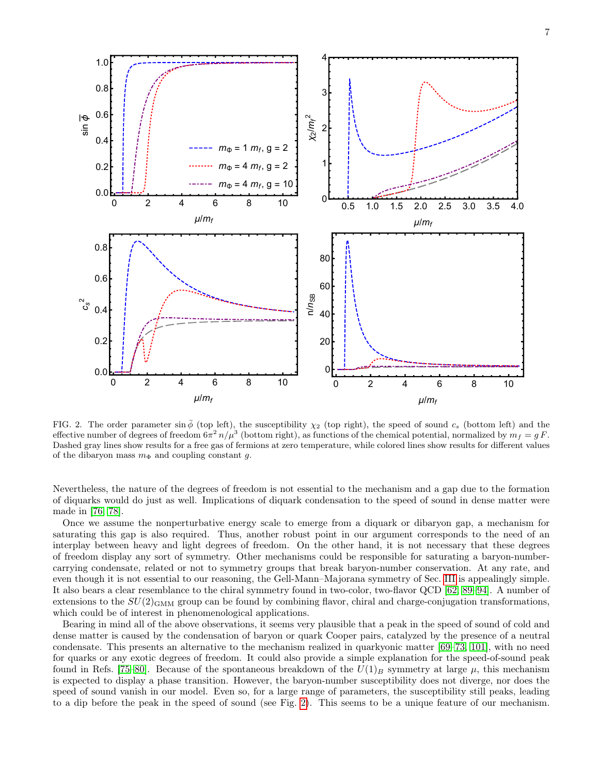

<span id="page-6-0"></span>FIG. 2. The order parameter sin  $\bar{\phi}$  (top left), the susceptibility  $\chi_2$  (top right), the speed of sound  $c_s$  (bottom left) and the effective number of degrees of freedom  $6\pi^2 n/\mu^3$  (bottom right), as functions of the chemical potential, normalized by  $m_f = g F$ . Dashed gray lines show results for a free gas of fermions at zero temperature, while colored lines show results for different values of the dibaryon mass  $m_{\Phi}$  and coupling constant g.

0 2 4 6 8 10

 $μ/m<sub>f</sub>$ 

0 2 4 6 8 10

 $μ/m<sub>f</sub>$ 

Nevertheless, the nature of the degrees of freedom is not essential to the mechanism and a gap due to the formation of diquarks would do just as well. Implications of diquark condensation to the speed of sound in dense matter were made in [\[76,](#page-10-14) [78\]](#page-10-16).

Once we assume the nonperturbative energy scale to emerge from a diquark or dibaryon gap, a mechanism for saturating this gap is also required. Thus, another robust point in our argument corresponds to the need of an interplay between heavy and light degrees of freedom. On the other hand, it is not necessary that these degrees of freedom display any sort of symmetry. Other mechanisms could be responsible for saturating a baryon-numbercarrying condensate, related or not to symmetry groups that break baryon-number conservation. At any rate, and even though it is not essential to our reasoning, the Gell-Mann–Majorana symmetry of Sec. [III](#page-2-0) is appealingly simple. It also bears a clear resemblance to the chiral symmetry found in two-color, two-flavor QCD [\[62,](#page-10-4) [89–](#page-11-1)[94\]](#page-11-2). A number of extensions to the  $SU(2)_{\text{GMM}}$  group can be found by combining flavor, chiral and charge-conjugation transformations, which could be of interest in phenomenological applications.

Bearing in mind all of the above observations, it seems very plausible that a peak in the speed of sound of cold and dense matter is caused by the condensation of baryon or quark Cooper pairs, catalyzed by the presence of a neutral condensate. This presents an alternative to the mechanism realized in quarkyonic matter [\[69–](#page-10-9)[73,](#page-10-10) [101\]](#page-11-7), with no need for quarks or any exotic degrees of freedom. It could also provide a simple explanation for the speed-of-sound peak found in Refs. [\[75–](#page-10-12)[80\]](#page-10-13). Because of the spontaneous breakdown of the  $U(1)_B$  symmetry at large  $\mu$ , this mechanism is expected to display a phase transition. However, the baryon-number susceptibility does not diverge, nor does the speed of sound vanish in our model. Even so, for a large range of parameters, the susceptibility still peaks, leading to a dip before the peak in the speed of sound (see Fig. [2\)](#page-6-0). This seems to be a unique feature of our mechanism.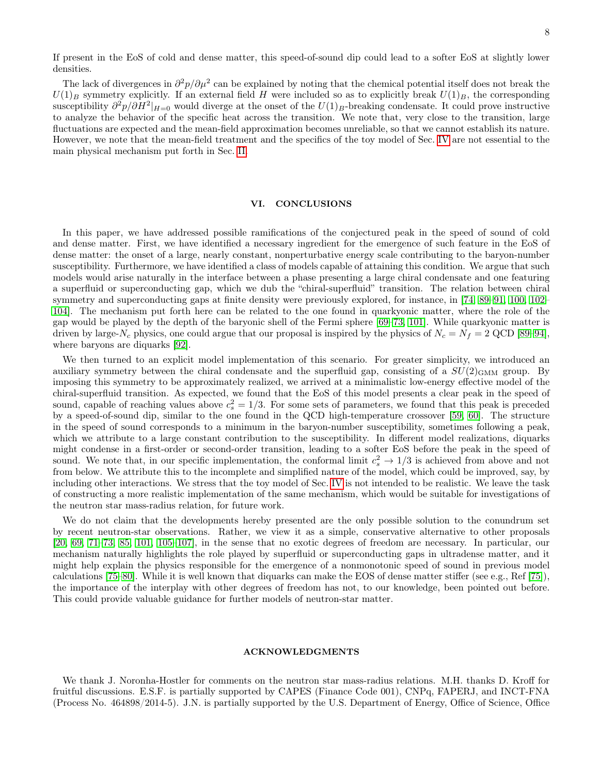If present in the EoS of cold and dense matter, this speed-of-sound dip could lead to a softer EoS at slightly lower densities.

The lack of divergences in  $\partial^2 p/\partial \mu^2$  can be explained by noting that the chemical potential itself does not break the  $U(1)_B$  symmetry explicitly. If an external field H were included so as to explicitly break  $U(1)_B$ , the corresponding susceptibility  $\partial^2 p/\partial H^2|_{H=0}$  would diverge at the onset of the  $U(1)_B$ -breaking condensate. It could prove instructive to analyze the behavior of the specific heat across the transition. We note that, very close to the transition, large fluctuations are expected and the mean-field approximation becomes unreliable, so that we cannot establish its nature. However, we note that the mean-field treatment and the specifics of the toy model of Sec. [IV](#page-3-0) are not essential to the main physical mechanism put forth in Sec. [II.](#page-1-0)

### <span id="page-7-0"></span>VI. CONCLUSIONS

In this paper, we have addressed possible ramifications of the conjectured peak in the speed of sound of cold and dense matter. First, we have identified a necessary ingredient for the emergence of such feature in the EoS of dense matter: the onset of a large, nearly constant, nonperturbative energy scale contributing to the baryon-number susceptibility. Furthermore, we have identified a class of models capable of attaining this condition. We argue that such models would arise naturally in the interface between a phase presenting a large chiral condensate and one featuring a superfluid or superconducting gap, which we dub the "chiral-superfluid" transition. The relation between chiral symmetry and superconducting gaps at finite density were previously explored, for instance, in [\[74,](#page-10-11) [89–](#page-11-1)[91,](#page-11-8) [100,](#page-11-6) [102–](#page-11-9) [104\]](#page-11-10). The mechanism put forth here can be related to the one found in quarkyonic matter, where the role of the gap would be played by the depth of the baryonic shell of the Fermi sphere [\[69–](#page-10-9)[73,](#page-10-10) [101\]](#page-11-7). While quarkyonic matter is driven by large- $N_c$  physics, one could argue that our proposal is inspired by the physics of  $N_c = N_f = 2$  QCD [\[89–](#page-11-1)[94\]](#page-11-2), where baryons are diquarks [\[92\]](#page-11-11).

We then turned to an explicit model implementation of this scenario. For greater simplicity, we introduced an auxiliary symmetry between the chiral condensate and the superfluid gap, consisting of a  $SU(2)_{\text{GMM}}$  group. By imposing this symmetry to be approximately realized, we arrived at a minimalistic low-energy effective model of the chiral-superfluid transition. As expected, we found that the EoS of this model presents a clear peak in the speed of sound, capable of reaching values above  $c_s^2 = 1/3$ . For some sets of parameters, we found that this peak is preceded by a speed-of-sound dip, similar to the one found in the QCD high-temperature crossover [\[59,](#page-10-1) [60\]](#page-10-2). The structure in the speed of sound corresponds to a minimum in the baryon-number susceptibility, sometimes following a peak, which we attribute to a large constant contribution to the susceptibility. In different model realizations, diquarks might condense in a first-order or second-order transition, leading to a softer EoS before the peak in the speed of sound. We note that, in our specific implementation, the conformal limit  $c_s^2 \to 1/3$  is achieved from above and not from below. We attribute this to the incomplete and simplified nature of the model, which could be improved, say, by including other interactions. We stress that the toy model of Sec. [IV](#page-3-0) is not intended to be realistic. We leave the task of constructing a more realistic implementation of the same mechanism, which would be suitable for investigations of the neutron star mass-radius relation, for future work.

We do not claim that the developments hereby presented are the only possible solution to the conundrum set by recent neutron-star observations. Rather, we view it as a simple, conservative alternative to other proposals [\[20,](#page-8-14) [69,](#page-10-9) [71–](#page-10-15)[73,](#page-10-10) [85,](#page-10-17) [101,](#page-11-7) [105](#page-11-12)[–107\]](#page-11-13), in the sense that no exotic degrees of freedom are necessary. In particular, our mechanism naturally highlights the role played by superfluid or superconducting gaps in ultradense matter, and it might help explain the physics responsible for the emergence of a nonmonotonic speed of sound in previous model calculations [\[75](#page-10-12)[–80\]](#page-10-13). While it is well known that diquarks can make the EOS of dense matter stiffer (see e.g., Ref [\[75\]](#page-10-12)), the importance of the interplay with other degrees of freedom has not, to our knowledge, been pointed out before. This could provide valuable guidance for further models of neutron-star matter.

## ACKNOWLEDGMENTS

We thank J. Noronha-Hostler for comments on the neutron star mass-radius relations. M.H. thanks D. Kroff for fruitful discussions. E.S.F. is partially supported by CAPES (Finance Code 001), CNPq, FAPERJ, and INCT-FNA (Process No. 464898/2014-5). J.N. is partially supported by the U.S. Department of Energy, Office of Science, Office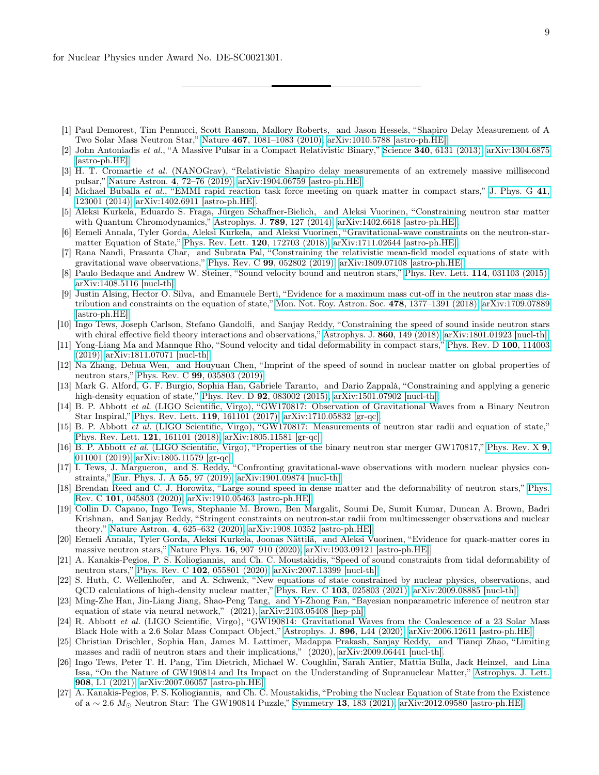- <span id="page-8-0"></span>[1] Paul Demorest, Tim Pennucci, Scott Ransom, Mallory Roberts, and Jason Hessels, "Shapiro Delay Measurement of A Two Solar Mass Neutron Star," Nature 467[, 1081–1083 \(2010\),](https://doi.org/ 10.1038/nature09466) [arXiv:1010.5788 \[astro-ph.HE\].](http://arxiv.org/abs/1010.5788)
- [2] John Antoniadis et al., "A Massive Pulsar in a Compact Relativistic Binary," Science 340[, 6131 \(2013\),](https://doi.org/10.1126/science.1233232) [arXiv:1304.6875](http://arxiv.org/abs/1304.6875) [\[astro-ph.HE\].](http://arxiv.org/abs/1304.6875)
- <span id="page-8-1"></span>[3] H. T. Cromartie et al. (NANOGrav), "Relativistic Shapiro delay measurements of an extremely massive millisecond pulsar," [Nature Astron.](https://doi.org/ 10.1038/s41550-019-0880-2) 4, 72–76 (2019), [arXiv:1904.06759 \[astro-ph.HE\].](http://arxiv.org/abs/1904.06759)
- <span id="page-8-2"></span>[4] Michael Buballa et al., "EMMI rapid reaction task force meeting on quark matter in compact stars," [J. Phys. G](https://doi.org/10.1088/0954-3899/41/12/123001) 41, [123001 \(2014\),](https://doi.org/10.1088/0954-3899/41/12/123001) [arXiv:1402.6911 \[astro-ph.HE\].](http://arxiv.org/abs/1402.6911)
- [5] Aleksi Kurkela, Eduardo S. Fraga, Jürgen Schaffner-Bielich, and Aleksi Vuorinen, "Constraining neutron star matter with Quantum Chromodynamics," [Astrophys. J.](https://doi.org/10.1088/0004-637X/789/2/127) 789, 127 (2014), [arXiv:1402.6618 \[astro-ph.HE\].](http://arxiv.org/abs/1402.6618)
- [6] Eemeli Annala, Tyler Gorda, Aleksi Kurkela, and Aleksi Vuorinen, "Gravitational-wave constraints on the neutron-starmatter Equation of State," [Phys. Rev. Lett.](https://doi.org/10.1103/PhysRevLett.120.172703) 120, 172703 (2018), [arXiv:1711.02644 \[astro-ph.HE\].](http://arxiv.org/abs/1711.02644)
- <span id="page-8-3"></span>[7] Rana Nandi, Prasanta Char, and Subrata Pal, "Constraining the relativistic mean-field model equations of state with gravitational wave observations," Phys. Rev. C 99[, 052802 \(2019\),](https://doi.org/10.1103/PhysRevC.99.052802) [arXiv:1809.07108 \[astro-ph.HE\].](http://arxiv.org/abs/1809.07108)
- <span id="page-8-4"></span>[8] Paulo Bedaque and Andrew W. Steiner, "Sound velocity bound and neutron stars," [Phys. Rev. Lett.](https://doi.org/10.1103/PhysRevLett.114.031103) 114, 031103 (2015), [arXiv:1408.5116 \[nucl-th\].](http://arxiv.org/abs/1408.5116)
- [9] Justin Alsing, Hector O. Silva, and Emanuele Berti, "Evidence for a maximum mass cut-off in the neutron star mass dis-tribution and constraints on the equation of state," [Mon. Not. Roy. Astron. Soc.](https://doi.org/10.1093/mnras/sty1065)  $478$ ,  $1377-1391$  (2018), [arXiv:1709.07889](http://arxiv.org/abs/1709.07889) [\[astro-ph.HE\].](http://arxiv.org/abs/1709.07889)
- <span id="page-8-8"></span>[10] Ingo Tews, Joseph Carlson, Stefano Gandolfi, and Sanjay Reddy, "Constraining the speed of sound inside neutron stars with chiral effective field theory interactions and observations," [Astrophys. J.](https://doi.org/10.3847/1538-4357/aac267) 860, 149 (2018), [arXiv:1801.01923 \[nucl-th\].](http://arxiv.org/abs/1801.01923)
- [11] Yong-Liang Ma and Mannque Rho, "Sound velocity and tidal deformability in compact stars," [Phys. Rev. D](https://doi.org/ 10.1103/PhysRevD.100.114003) 100, 114003 [\(2019\),](https://doi.org/ 10.1103/PhysRevD.100.114003) [arXiv:1811.07071 \[nucl-th\].](http://arxiv.org/abs/1811.07071)
- [12] Na Zhang, Dehua Wen, and Houyuan Chen, "Imprint of the speed of sound in nuclear matter on global properties of neutron stars," Phys. Rev. C 99[, 035803 \(2019\).](https://doi.org/10.1103/PhysRevC.99.035803)
- <span id="page-8-5"></span>[13] Mark G. Alford, G. F. Burgio, Sophia Han, Gabriele Taranto, and Dario Zappalà, "Constraining and applying a generic high-density equation of state," Phys. Rev. D **92**[, 083002 \(2015\),](https://doi.org/ 10.1103/PhysRevD.92.083002) [arXiv:1501.07902 \[nucl-th\].](http://arxiv.org/abs/1501.07902)
- <span id="page-8-6"></span>[14] B. P. Abbott et al. (LIGO Scientific, Virgo), "GW170817: Observation of Gravitational Waves from a Binary Neutron Star Inspiral," [Phys. Rev. Lett.](https://doi.org/10.1103/PhysRevLett.119.161101) 119, 161101 (2017), [arXiv:1710.05832 \[gr-qc\].](http://arxiv.org/abs/1710.05832)
- [15] B. P. Abbott et al. (LIGO Scientific, Virgo), "GW170817: Measurements of neutron star radii and equation of state," [Phys. Rev. Lett.](https://doi.org/10.1103/PhysRevLett.121.161101) 121, 161101 (2018), [arXiv:1805.11581 \[gr-qc\].](http://arxiv.org/abs/1805.11581)
- <span id="page-8-7"></span>[16] B. P. Abbott et al. (LIGO Scientific, Virgo), "Properties of the binary neutron star merger GW170817," [Phys. Rev. X](https://doi.org/ 10.1103/PhysRevX.9.011001) 9, [011001 \(2019\),](https://doi.org/ 10.1103/PhysRevX.9.011001) [arXiv:1805.11579 \[gr-qc\].](http://arxiv.org/abs/1805.11579)
- <span id="page-8-9"></span>[17] I. Tews, J. Margueron, and S. Reddy, "Confronting gravitational-wave observations with modern nuclear physics constraints," [Eur. Phys. J. A](https://doi.org/ 10.1140/epja/i2019-12774-6) 55, 97 (2019), [arXiv:1901.09874 \[nucl-th\].](http://arxiv.org/abs/1901.09874)
- [18] Brendan Reed and C. J. Horowitz, "Large sound speed in dense matter and the deformability of neutron stars," [Phys.](https://doi.org/10.1103/PhysRevC.101.045803) Rev. C 101[, 045803 \(2020\),](https://doi.org/10.1103/PhysRevC.101.045803) [arXiv:1910.05463 \[astro-ph.HE\].](http://arxiv.org/abs/1910.05463)
- [19] Collin D. Capano, Ingo Tews, Stephanie M. Brown, Ben Margalit, Soumi De, Sumit Kumar, Duncan A. Brown, Badri Krishnan, and Sanjay Reddy, "Stringent constraints on neutron-star radii from multimessenger observations and nuclear theory," Nature Astron. 4[, 625–632 \(2020\),](https://doi.org/ 10.1038/s41550-020-1014-6) [arXiv:1908.10352 \[astro-ph.HE\].](http://arxiv.org/abs/1908.10352)
- <span id="page-8-14"></span>[20] Eemeli Annala, Tyler Gorda, Aleksi Kurkela, Joonas Nättilä, and Aleksi Vuorinen, "Evidence for quark-matter cores in massive neutron stars," Nature Phys. 16[, 907–910 \(2020\),](https://doi.org/ 10.1038/s41567-020-0914-9) [arXiv:1903.09121 \[astro-ph.HE\].](http://arxiv.org/abs/1903.09121)
- [21] A. Kanakis-Pegios, P. S. Koliogiannis, and Ch. C. Moustakidis, "Speed of sound constraints from tidal deformability of neutron stars," Phys. Rev. C 102[, 055801 \(2020\),](https://doi.org/10.1103/PhysRevC.102.055801) [arXiv:2007.13399 \[nucl-th\].](http://arxiv.org/abs/2007.13399)
- [22] S. Huth, C. Wellenhofer, and A. Schwenk, "New equations of state constrained by nuclear physics, observations, and QCD calculations of high-density nuclear matter," Phys. Rev. C 103[, 025803 \(2021\),](https://doi.org/ 10.1103/PhysRevC.103.025803) [arXiv:2009.08885 \[nucl-th\].](http://arxiv.org/abs/2009.08885)
- <span id="page-8-10"></span>[23] Ming-Zhe Han, Jin-Liang Jiang, Shao-Peng Tang, and Yi-Zhong Fan, "Bayesian nonparametric inference of neutron star equation of state via neural network," (2021), [arXiv:2103.05408 \[hep-ph\].](http://arxiv.org/abs/2103.05408)
- <span id="page-8-11"></span>[24] R. Abbott et al. (LIGO Scientific, Virgo), "GW190814: Gravitational Waves from the Coalescence of a 23 Solar Mass Black Hole with a 2.6 Solar Mass Compact Object," [Astrophys. J.](https://doi.org/10.3847/2041-8213/ab960f) 896, L44 (2020), [arXiv:2006.12611 \[astro-ph.HE\].](http://arxiv.org/abs/2006.12611)
- <span id="page-8-12"></span>[25] Christian Drischler, Sophia Han, James M. Lattimer, Madappa Prakash, Sanjay Reddy, and Tianqi Zhao, "Limiting masses and radii of neutron stars and their implications," (2020), [arXiv:2009.06441 \[nucl-th\].](http://arxiv.org/abs/2009.06441)
- <span id="page-8-13"></span>[26] Ingo Tews, Peter T. H. Pang, Tim Dietrich, Michael W. Coughlin, Sarah Antier, Mattia Bulla, Jack Heinzel, and Lina Issa, "On the Nature of GW190814 and Its Impact on the Understanding of Supranuclear Matter," [Astrophys. J. Lett.](https://doi.org/ 10.3847/2041-8213/abdaae) 908[, L1 \(2021\),](https://doi.org/ 10.3847/2041-8213/abdaae) [arXiv:2007.06057 \[astro-ph.HE\].](http://arxiv.org/abs/2007.06057)
- [27] A. Kanakis-Pegios, P. S. Koliogiannis, and Ch. C. Moustakidis, "Probing the Nuclear Equation of State from the Existence of a ∼ 2.6 M Neutron Star: The GW190814 Puzzle," Symmetry 13[, 183 \(2021\),](https://doi.org/ 10.3390/sym13020183) [arXiv:2012.09580 \[astro-ph.HE\].](http://arxiv.org/abs/2012.09580)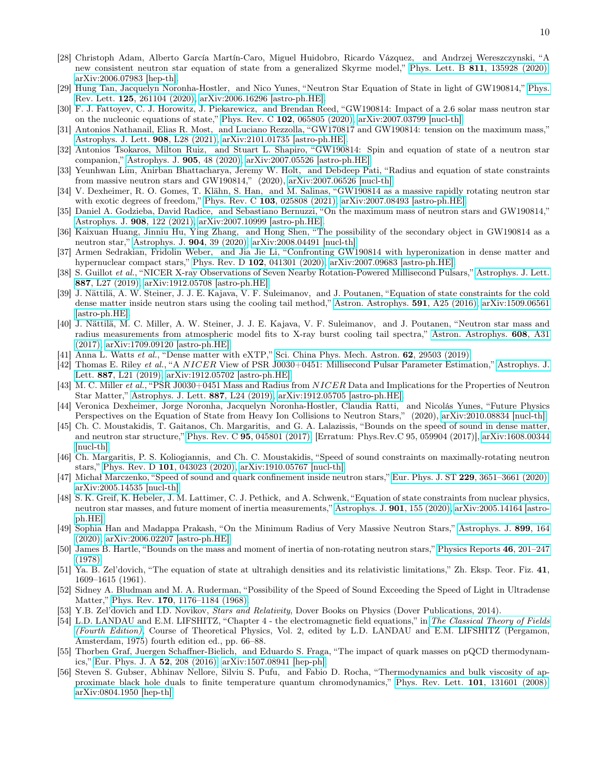- [28] Christoph Adam, Alberto García Martín-Caro, Miguel Huidobro, Ricardo Vázquez, and Andrzej Wereszczynski, "A new consistent neutron star equation of state from a generalized Skyrme model," Phys. Lett. B 811[, 135928 \(2020\),](https://doi.org/ 10.1016/j.physletb.2020.135928) [arXiv:2006.07983 \[hep-th\].](http://arxiv.org/abs/2006.07983)
- [29] Hung Tan, Jacquelyn Noronha-Hostler, and Nico Yunes, "Neutron Star Equation of State in light of GW190814," [Phys.](https://doi.org/ 10.1103/PhysRevLett.125.261104) Rev. Lett. 125[, 261104 \(2020\),](https://doi.org/ 10.1103/PhysRevLett.125.261104) [arXiv:2006.16296 \[astro-ph.HE\].](http://arxiv.org/abs/2006.16296)
- [30] F. J. Fattoyev, C. J. Horowitz, J. Piekarewicz, and Brendan Reed, "GW190814: Impact of a 2.6 solar mass neutron star on the nucleonic equations of state," Phys. Rev. C 102[, 065805 \(2020\),](https://doi.org/10.1103/PhysRevC.102.065805) [arXiv:2007.03799 \[nucl-th\].](http://arxiv.org/abs/2007.03799)
- [31] Antonios Nathanail, Elias R. Most, and Luciano Rezzolla, "GW170817 and GW190814: tension on the maximum mass," [Astrophys. J. Lett.](https://doi.org/ 10.3847/2041-8213/abdfc6) 908, L28 (2021), [arXiv:2101.01735 \[astro-ph.HE\].](http://arxiv.org/abs/2101.01735)
- [32] Antonios Tsokaros, Milton Ruiz, and Stuart L. Shapiro, "GW190814: Spin and equation of state of a neutron star companion," [Astrophys. J.](https://doi.org/10.3847/1538-4357/abc421) 905, 48 (2020), [arXiv:2007.05526 \[astro-ph.HE\].](http://arxiv.org/abs/2007.05526)
- [33] Yeunhwan Lim, Anirban Bhattacharya, Jeremy W. Holt, and Debdeep Pati, "Radius and equation of state constraints from massive neutron stars and GW190814," (2020), [arXiv:2007.06526 \[nucl-th\].](http://arxiv.org/abs/2007.06526)
- [34] V. Dexheimer, R. O. Gomes, T. Klähn, S. Han, and M. Salinas, "GW190814 as a massive rapidly rotating neutron star with exotic degrees of freedom," Phys. Rev. C 103[, 025808 \(2021\),](https://doi.org/ 10.1103/PhysRevC.103.025808) [arXiv:2007.08493 \[astro-ph.HE\].](http://arxiv.org/abs/2007.08493)
- [35] Daniel A. Godzieba, David Radice, and Sebastiano Bernuzzi, "On the maximum mass of neutron stars and GW190814," [Astrophys. J.](https://doi.org/ 10.3847/1538-4357/abd4dd) 908, 122 (2021), [arXiv:2007.10999 \[astro-ph.HE\].](http://arxiv.org/abs/2007.10999)
- [36] Kaixuan Huang, Jinniu Hu, Ying Zhang, and Hong Shen, "The possibility of the secondary object in GW190814 as a neutron star," [Astrophys. J.](https://doi.org/10.3847/1538-4357/abbb37) 904, 39 (2020), [arXiv:2008.04491 \[nucl-th\].](http://arxiv.org/abs/2008.04491)
- <span id="page-9-0"></span>[37] Armen Sedrakian, Fridolin Weber, and Jia Jie Li, "Confronting GW190814 with hyperonization in dense matter and hypernuclear compact stars," Phys. Rev. D 102[, 041301 \(2020\),](https://doi.org/10.1103/PhysRevD.102.041301) [arXiv:2007.09683 \[astro-ph.HE\].](http://arxiv.org/abs/2007.09683)
- <span id="page-9-1"></span>[38] S. Guillot et al., "NICER X-ray Observations of Seven Nearby Rotation-Powered Millisecond Pulsars," [Astrophys. J. Lett.](https://doi.org/10.3847/2041-8213/ab511b) 887[, L27 \(2019\),](https://doi.org/10.3847/2041-8213/ab511b) [arXiv:1912.05708 \[astro-ph.HE\].](http://arxiv.org/abs/1912.05708)
- <span id="page-9-2"></span>[39] J. Nättilä, A. W. Steiner, J. J. E. Kajava, V. F. Suleimanov, and J. Poutanen, "Equation of state constraints for the cold dense matter inside neutron stars using the cooling tail method," [Astron. Astrophys.](https://doi.org/10.1051/0004-6361/201527416) 591, A25 (2016), [arXiv:1509.06561](http://arxiv.org/abs/1509.06561) [\[astro-ph.HE\].](http://arxiv.org/abs/1509.06561)
- [40] J. Nättilä, M. C. Miller, A. W. Steiner, J. J. E. Kajava, V. F. Suleimanov, and J. Poutanen, "Neutron star mass and radius measurements from atmospheric model fits to X-ray burst cooling tail spectra," [Astron. Astrophys.](https://doi.org/10.1051/0004-6361/201731082) 608, A31 [\(2017\),](https://doi.org/10.1051/0004-6361/201731082) [arXiv:1709.09120 \[astro-ph.HE\].](http://arxiv.org/abs/1709.09120)
- [41] Anna L. Watts et al., "Dense matter with eXTP," [Sci. China Phys. Mech. Astron.](https://doi.org/10.1007/s11433-017-9188-4) 62, 29503 (2019).
- [42] Thomas E. Riley et al., "A NICER View of PSR J0030+0451: Millisecond Pulsar Parameter Estimation," [Astrophys. J.](https://doi.org/10.3847/2041-8213/ab481c) Lett. 887[, L21 \(2019\),](https://doi.org/10.3847/2041-8213/ab481c) [arXiv:1912.05702 \[astro-ph.HE\].](http://arxiv.org/abs/1912.05702)
- [43] M. C. Miller et al., "PSR J0030+0451 Mass and Radius from NICER Data and Implications for the Properties of Neutron Star Matter," [Astrophys. J. Lett.](https://doi.org/ 10.3847/2041-8213/ab50c5) 887, L24 (2019), [arXiv:1912.05705 \[astro-ph.HE\].](http://arxiv.org/abs/1912.05705)
- <span id="page-9-3"></span>[44] Veronica Dexheimer, Jorge Noronha, Jacquelyn Noronha-Hostler, Claudia Ratti, and Nicolás Yunes, "Future Physics Perspectives on the Equation of State from Heavy Ion Collisions to Neutron Stars," (2020), [arXiv:2010.08834 \[nucl-th\].](http://arxiv.org/abs/2010.08834)
- <span id="page-9-4"></span>[45] Ch. C. Moustakidis, T. Gaitanos, Ch. Margaritis, and G. A. Lalazissis, "Bounds on the speed of sound in dense matter, and neutron star structure," Phys. Rev. C 95[, 045801 \(2017\),](https://doi.org/10.1103/PhysRevC.95.045801) [Erratum: Phys.Rev.C 95, 059904 (2017)], [arXiv:1608.00344](http://arxiv.org/abs/1608.00344) [\[nucl-th\].](http://arxiv.org/abs/1608.00344)
- [46] Ch. Margaritis, P. S. Koliogiannis, and Ch. C. Moustakidis, "Speed of sound constraints on maximally-rotating neutron stars," Phys. Rev. D 101[, 043023 \(2020\),](https://doi.org/10.1103/PhysRevD.101.043023) [arXiv:1910.05767 \[nucl-th\].](http://arxiv.org/abs/1910.05767)
- [47] Michał Marczenko, "Speed of sound and quark confinement inside neutron stars," Eur. Phys. J. ST 229[, 3651–3661 \(2020\),](https://doi.org/10.1140/epjst/e2020-000093-3) [arXiv:2005.14535 \[nucl-th\].](http://arxiv.org/abs/2005.14535)
- [48] S. K. Greif, K. Hebeler, J. M. Lattimer, C. J. Pethick, and A. Schwenk, "Equation of state constraints from nuclear physics, neutron star masses, and future moment of inertia measurements," [Astrophys. J.](https://doi.org/10.3847/1538-4357/abaf55) 901, 155 (2020), [arXiv:2005.14164 \[astro](http://arxiv.org/abs/2005.14164)[ph.HE\].](http://arxiv.org/abs/2005.14164)
- <span id="page-9-5"></span>[49] Sophia Han and Madappa Prakash, "On the Minimum Radius of Very Massive Neutron Stars," [Astrophys. J.](https://doi.org/ 10.3847/1538-4357/aba3c7) 899, 164 [\(2020\),](https://doi.org/ 10.3847/1538-4357/aba3c7) [arXiv:2006.02207 \[astro-ph.HE\].](http://arxiv.org/abs/2006.02207)
- <span id="page-9-6"></span>[50] James B. Hartle, "Bounds on the mass and moment of inertia of non-rotating neutron stars," [Physics Reports](https://doi.org/https://doi.org/10.1016/0370-1573(78)90140-0) 46, 201–247 [\(1978\).](https://doi.org/https://doi.org/10.1016/0370-1573(78)90140-0)
- <span id="page-9-10"></span>[51] Ya. B. Zel'dovich, "The equation of state at ultrahigh densities and its relativistic limitations," Zh. Eksp. Teor. Fiz. 41, 1609–1615 (1961).
- [52] Sidney A. Bludman and M. A. Ruderman, "Possibility of the Speed of Sound Exceeding the Speed of Light in Ultradense Matter," Phys. Rev. **170**[, 1176–1184 \(1968\).](https://doi.org/10.1103/PhysRev.170.1176)
- <span id="page-9-7"></span>[53] Y.B. Zel'dovich and I.D. Novikov, *Stars and Relativity*, Dover Books on Physics (Dover Publications, 2014).
- [54] L.D. LANDAU and E.M. LIFSHITZ, "Chapter 4 the electromagnetic field equations," in [The Classical Theory of Fields](https://doi.org/ https://doi.org/10.1016/B978-0-08-025072-4.50011-3) [\(Fourth Edition\)](https://doi.org/ https://doi.org/10.1016/B978-0-08-025072-4.50011-3), Course of Theoretical Physics, Vol. 2, edited by L.D. LANDAU and E.M. LIFSHITZ (Pergamon, Amsterdam, 1975) fourth edition ed., pp. 66–88.
- <span id="page-9-8"></span>[55] Thorben Graf, Juergen Schaffner-Bielich, and Eduardo S. Fraga, "The impact of quark masses on pQCD thermodynamics," [Eur. Phys. J. A](https://doi.org/ 10.1140/epja/i2016-16208-9) 52, 208 (2016), [arXiv:1507.08941 \[hep-ph\].](http://arxiv.org/abs/1507.08941)
- <span id="page-9-9"></span>[56] Steven S. Gubser, Abhinav Nellore, Silviu S. Pufu, and Fabio D. Rocha, "Thermodynamics and bulk viscosity of approximate black hole duals to finite temperature quantum chromodynamics," [Phys. Rev. Lett.](https://doi.org/ 10.1103/PhysRevLett.101.131601) 101, 131601 (2008), [arXiv:0804.1950 \[hep-th\].](http://arxiv.org/abs/0804.1950)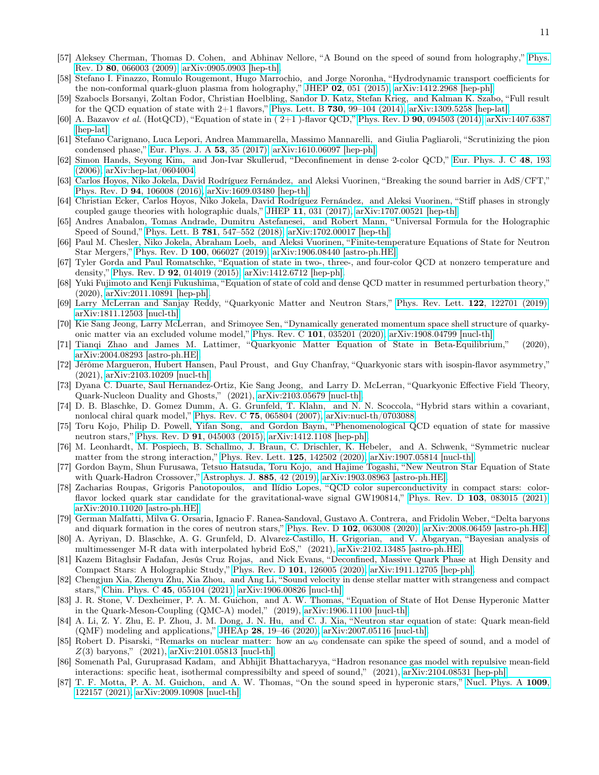- [57] Aleksey Cherman, Thomas D. Cohen, and Abhinav Nellore, "A Bound on the speed of sound from holography," [Phys.](https://doi.org/ 10.1103/PhysRevD.80.066003) Rev. D 80[, 066003 \(2009\),](https://doi.org/ 10.1103/PhysRevD.80.066003) [arXiv:0905.0903 \[hep-th\].](http://arxiv.org/abs/0905.0903)
- <span id="page-10-0"></span>[58] Stefano I. Finazzo, Romulo Rougemont, Hugo Marrochio, and Jorge Noronha, "Hydrodynamic transport coefficients for the non-conformal quark-gluon plasma from holography," JHEP 02[, 051 \(2015\),](https://doi.org/10.1007/JHEP02(2015)051) [arXiv:1412.2968 \[hep-ph\].](http://arxiv.org/abs/1412.2968)
- <span id="page-10-1"></span>[59] Szabocls Borsanyi, Zoltan Fodor, Christian Hoelbling, Sandor D. Katz, Stefan Krieg, and Kalman K. Szabo, "Full result for the QCD equation of state with  $2+1$  flavors," Phys. Lett. B 730, 99-104 (2014), [arXiv:1309.5258 \[hep-lat\].](http://arxiv.org/abs/1309.5258)
- <span id="page-10-2"></span>[60] A. Bazavov et al. (HotQCD), "Equation of state in ( 2+1 )-flavor QCD," Phys. Rev. D 90[, 094503 \(2014\),](https://doi.org/10.1103/PhysRevD.90.094503) [arXiv:1407.6387](http://arxiv.org/abs/1407.6387) [\[hep-lat\].](http://arxiv.org/abs/1407.6387)
- <span id="page-10-3"></span>[61] Stefano Carignano, Luca Lepori, Andrea Mammarella, Massimo Mannarelli, and Giulia Pagliaroli, "Scrutinizing the pion condensed phase," [Eur. Phys. J. A](https://doi.org/ 10.1140/epja/i2017-12221-x)  $53$ ,  $35$   $(2017)$ ,  $arXiv:1610.06097$  [hep-ph].
- <span id="page-10-4"></span>[62] Simon Hands, Seyong Kim, and Jon-Ivar Skullerud, "Deconfinement in dense 2-color QCD," [Eur. Phys. J. C](https://doi.org/10.1140/epjc/s2006-02621-8) 48, 193 [\(2006\),](https://doi.org/10.1140/epjc/s2006-02621-8) [arXiv:hep-lat/0604004.](http://arxiv.org/abs/hep-lat/0604004)
- <span id="page-10-5"></span>[63] Carlos Hoyos, Niko Jokela, David Rodríguez Fernández, and Aleksi Vuorinen, "Breaking the sound barrier in AdS/CFT," Phys. Rev. D 94[, 106008 \(2016\),](https://doi.org/ 10.1103/PhysRevD.94.106008) [arXiv:1609.03480 \[hep-th\].](http://arxiv.org/abs/1609.03480)
- [64] Christian Ecker, Carlos Hoyos, Niko Jokela, David Rodríguez Fernández, and Aleksi Vuorinen, "Stiff phases in strongly coupled gauge theories with holographic duals," JHEP 11[, 031 \(2017\),](https://doi.org/10.1007/JHEP11(2017)031) [arXiv:1707.00521 \[hep-th\].](http://arxiv.org/abs/1707.00521)
- [65] Andres Anabalon, Tomas Andrade, Dumitru Astefanesei, and Robert Mann, "Universal Formula for the Holographic Speed of Sound," Phys. Lett. B 781[, 547–552 \(2018\),](https://doi.org/ 10.1016/j.physletb.2018.04.028) [arXiv:1702.00017 \[hep-th\].](http://arxiv.org/abs/1702.00017)
- <span id="page-10-6"></span>[66] Paul M. Chesler, Niko Jokela, Abraham Loeb, and Aleksi Vuorinen, "Finite-temperature Equations of State for Neutron Star Mergers," Phys. Rev. D 100[, 066027 \(2019\),](https://doi.org/ 10.1103/PhysRevD.100.066027) [arXiv:1906.08440 \[astro-ph.HE\].](http://arxiv.org/abs/1906.08440)
- <span id="page-10-7"></span>[67] Tyler Gorda and Paul Romatschke, "Equation of state in two-, three-, and four-color QCD at nonzero temperature and density," Phys. Rev. D 92[, 014019 \(2015\),](https://doi.org/10.1103/PhysRevD.92.014019) [arXiv:1412.6712 \[hep-ph\].](http://arxiv.org/abs/1412.6712)
- <span id="page-10-8"></span>[68] Yuki Fujimoto and Kenji Fukushima, "Equation of state of cold and dense QCD matter in resummed perturbation theory," (2020), [arXiv:2011.10891 \[hep-ph\].](http://arxiv.org/abs/2011.10891)
- <span id="page-10-9"></span>[69] Larry McLerran and Sanjay Reddy, "Quarkyonic Matter and Neutron Stars," [Phys. Rev. Lett.](https://doi.org/ 10.1103/PhysRevLett.122.122701) 122, 122701 (2019), [arXiv:1811.12503 \[nucl-th\].](http://arxiv.org/abs/1811.12503)
- [70] Kie Sang Jeong, Larry McLerran, and Srimoyee Sen, "Dynamically generated momentum space shell structure of quarkyonic matter via an excluded volume model," Phys. Rev. C 101[, 035201 \(2020\),](https://doi.org/10.1103/PhysRevC.101.035201) [arXiv:1908.04799 \[nucl-th\].](http://arxiv.org/abs/1908.04799)
- <span id="page-10-15"></span>[71] Tianqi Zhao and James M. Lattimer, "Quarkyonic Matter Equation of State in Beta-Equilibrium," (2020), [arXiv:2004.08293 \[astro-ph.HE\].](http://arxiv.org/abs/2004.08293)
- [72] Jérôme Margueron, Hubert Hansen, Paul Proust, and Guy Chanfray, "Quarkyonic stars with isospin-flavor asymmetry," (2021), [arXiv:2103.10209 \[nucl-th\].](http://arxiv.org/abs/2103.10209)
- <span id="page-10-10"></span>[73] Dyana C. Duarte, Saul Hernandez-Ortiz, Kie Sang Jeong, and Larry D. McLerran, "Quarkyonic Effective Field Theory, Quark-Nucleon Duality and Ghosts," (2021), [arXiv:2103.05679 \[nucl-th\].](http://arxiv.org/abs/2103.05679)
- <span id="page-10-11"></span>[74] D. B. Blaschke, D. Gomez Dumm, A. G. Grunfeld, T. Klahn, and N. N. Scoccola, "Hybrid stars within a covariant, nonlocal chiral quark model," Phys. Rev. C 75[, 065804 \(2007\),](https://doi.org/ 10.1103/PhysRevC.75.065804) [arXiv:nucl-th/0703088.](http://arxiv.org/abs/nucl-th/0703088)
- <span id="page-10-12"></span>[75] Toru Kojo, Philip D. Powell, Yifan Song, and Gordon Baym, "Phenomenological QCD equation of state for massive neutron stars," Phys. Rev. D 91[, 045003 \(2015\),](https://doi.org/ 10.1103/PhysRevD.91.045003) [arXiv:1412.1108 \[hep-ph\].](http://arxiv.org/abs/1412.1108)
- <span id="page-10-14"></span>[76] M. Leonhardt, M. Pospiech, B. Schallmo, J. Braun, C. Drischler, K. Hebeler, and A. Schwenk, "Symmetric nuclear matter from the strong interaction," [Phys. Rev. Lett.](https://doi.org/10.1103/PhysRevLett.125.142502) 125, 142502 (2020), [arXiv:1907.05814 \[nucl-th\].](http://arxiv.org/abs/1907.05814)
- [77] Gordon Baym, Shun Furusawa, Tetsuo Hatsuda, Toru Kojo, and Hajime Togashi, "New Neutron Star Equation of State with Quark-Hadron Crossover," [Astrophys. J.](https://doi.org/10.3847/1538-4357/ab441e) 885, 42 (2019), [arXiv:1903.08963 \[astro-ph.HE\].](http://arxiv.org/abs/1903.08963)
- <span id="page-10-16"></span>[78] Zacharias Roupas, Grigoris Panotopoulos, and Ilídio Lopes, "QCD color superconductivity in compact stars: color-flavor locked quark star candidate for the gravitational-wave signal GW190814," Phys. Rev. D 103[, 083015 \(2021\),](https://doi.org/10.1103/PhysRevD.103.083015) [arXiv:2010.11020 \[astro-ph.HE\].](http://arxiv.org/abs/2010.11020)
- [79] German Malfatti, Milva G. Orsaria, Ignacio F. Ranea-Sandoval, Gustavo A. Contrera, and Fridolin Weber, "Delta baryons and diquark formation in the cores of neutron stars," Phys. Rev. D 102[, 063008 \(2020\),](https://doi.org/10.1103/PhysRevD.102.063008) [arXiv:2008.06459 \[astro-ph.HE\].](http://arxiv.org/abs/2008.06459)
- <span id="page-10-13"></span>[80] A. Ayriyan, D. Blaschke, A. G. Grunfeld, D. Alvarez-Castillo, H. Grigorian, and V. Abgaryan, "Bayesian analysis of multimessenger M-R data with interpolated hybrid EoS," (2021), [arXiv:2102.13485 \[astro-ph.HE\].](http://arxiv.org/abs/2102.13485)
- [81] Kazem Bitaghsir Fadafan, Jesús Cruz Rojas, and Nick Evans, "Deconfined, Massive Quark Phase at High Density and Compact Stars: A Holographic Study," Phys. Rev. D 101[, 126005 \(2020\),](https://doi.org/10.1103/PhysRevD.101.126005) [arXiv:1911.12705 \[hep-ph\].](http://arxiv.org/abs/1911.12705)
- [82] Chengjun Xia, Zhenyu Zhu, Xia Zhou, and Ang Li, "Sound velocity in dense stellar matter with strangeness and compact stars," Chin. Phys. C 45[, 055104 \(2021\),](https://doi.org/ 10.1088/1674-1137/abea0d) [arXiv:1906.00826 \[nucl-th\].](http://arxiv.org/abs/1906.00826)
- [83] J. R. Stone, V. Dexheimer, P. A. M. Guichon, and A. W. Thomas, "Equation of State of Hot Dense Hyperonic Matter in the Quark-Meson-Coupling (QMC-A) model," (2019), [arXiv:1906.11100 \[nucl-th\].](http://arxiv.org/abs/1906.11100)
- [84] A. Li, Z. Y. Zhu, E. P. Zhou, J. M. Dong, J. N. Hu, and C. J. Xia, "Neutron star equation of state: Quark mean-field (QMF) modeling and applications," JHEAp 28[, 19–46 \(2020\),](https://doi.org/10.1016/j.jheap.2020.07.001) [arXiv:2007.05116 \[nucl-th\].](http://arxiv.org/abs/2007.05116)
- <span id="page-10-17"></span>[85] Robert D. Pisarski, "Remarks on nuclear matter: how an  $\omega_0$  condensate can spike the speed of sound, and a model of  $Z(3)$  baryons,"  $(2021)$ , [arXiv:2101.05813 \[nucl-th\].](http://arxiv.org/abs/2101.05813)
- [86] Somenath Pal, Guruprasad Kadam, and Abhijit Bhattacharyya, "Hadron resonance gas model with repulsive mean-field interactions: specific heat, isothermal compressibilty and speed of sound," (2021), [arXiv:2104.08531 \[hep-ph\].](http://arxiv.org/abs/2104.08531)
- [87] T. F. Motta, P. A. M. Guichon, and A. W. Thomas, "On the sound speed in hyperonic stars," [Nucl. Phys. A](https://doi.org/ 10.1016/j.nuclphysa.2021.122157) 1009, [122157 \(2021\),](https://doi.org/ 10.1016/j.nuclphysa.2021.122157) [arXiv:2009.10908 \[nucl-th\].](http://arxiv.org/abs/2009.10908)